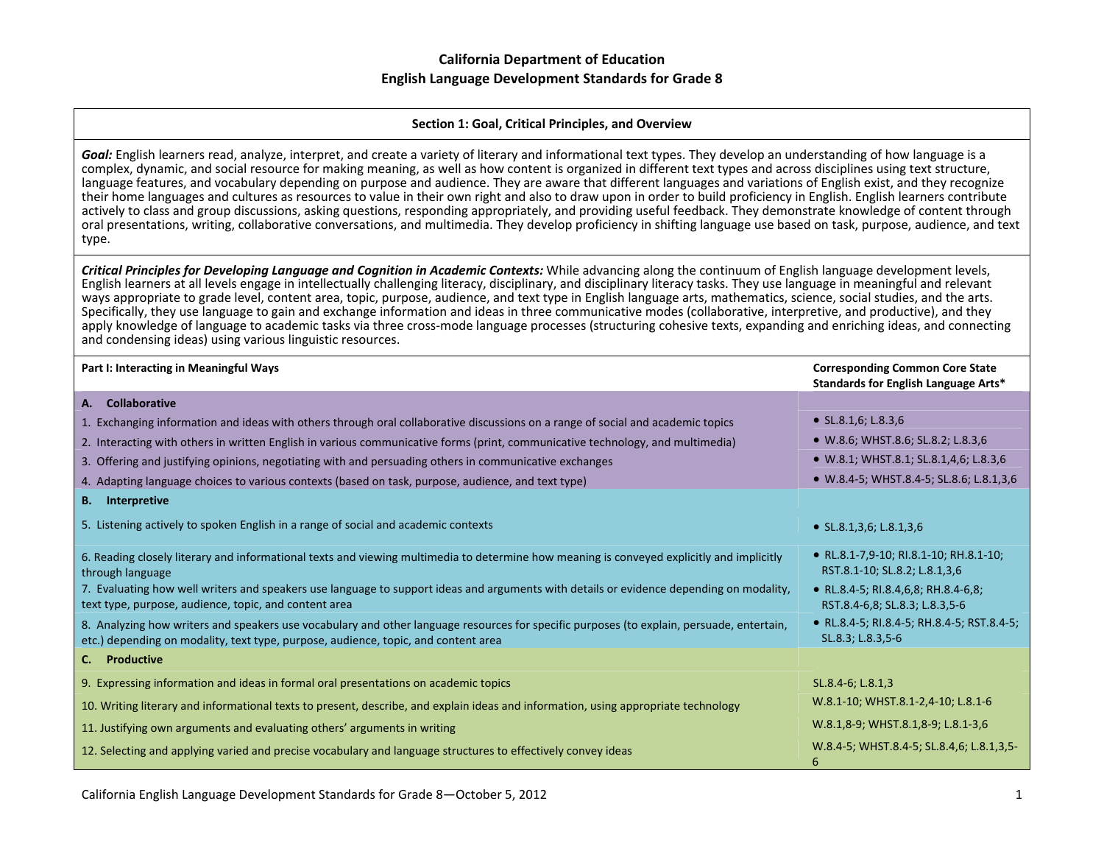#### **Section 1: Goal, Critical Principles, and Overview**

*Goal:* English learners read, analyze, interpret, and create <sup>a</sup> variety of literary and informational text types. They develop an understanding of how language is <sup>a</sup> complex, dynamic, and social resource for making meaning, as well as how content is organized in different text types and across disciplines using text structure, language features, and vocabulary depending on purpose and audience. They are aware that different languages and variations of English exist, and they recognize their home languages and cultures as resources to value in their own right and also to draw upon in order to build proficiency in English. English learners contribute actively to class and group discussions, asking questions, responding appropriately, and providing useful feedback. They demonstrate knowledge of content through oral presentations, writing, collaborative conversations, and multimedia. They develop proficiency in shifting language use based on task, purpose, audience, and text type.

Critical Principles for Developing Language and Cognition in Academic Contexts: While advancing along the continuum of English language development levels, English learners at all levels engage in intellectually challenging literacy, disciplinary, and disciplinary literacy tasks. They use language in meaningful and relevant ways appropriate to grade level, content area, topic, purpose, audience, and text type in English language arts, mathematics, science, social studies, and the arts. Specifically, they use language to gain and exchange information and ideas in three communicative modes (collaborative, interpretive, and productive), and they apply knowledge of language to academic tasks via three cross-mode language processes (structuring cohesive texts, expanding and enriching ideas, and connecting and condensing ideas) using various linguistic resources.

| Part I: Interacting in Meaningful Ways                                                                                                                                                                                          | <b>Corresponding Common Core State</b><br>Standards for English Language Arts* |
|---------------------------------------------------------------------------------------------------------------------------------------------------------------------------------------------------------------------------------|--------------------------------------------------------------------------------|
| A. Collaborative                                                                                                                                                                                                                |                                                                                |
| 1. Exchanging information and ideas with others through oral collaborative discussions on a range of social and academic topics                                                                                                 | • $SL.8.1,6$ ; $L.8.3,6$                                                       |
| 2. Interacting with others in written English in various communicative forms (print, communicative technology, and multimedia)                                                                                                  | • W.8.6; WHST.8.6; SL.8.2; L.8.3,6                                             |
| 3. Offering and justifying opinions, negotiating with and persuading others in communicative exchanges                                                                                                                          | • W.8.1; WHST.8.1; SL.8.1,4,6; L.8.3,6                                         |
| 4. Adapting language choices to various contexts (based on task, purpose, audience, and text type)                                                                                                                              | • W.8.4-5; WHST.8.4-5; SL.8.6; L.8.1,3,6                                       |
| <b>B.</b> Interpretive                                                                                                                                                                                                          |                                                                                |
| 5. Listening actively to spoken English in a range of social and academic contexts                                                                                                                                              | • $SL.8.1, 3.6$ ; $L.8.1, 3.6$                                                 |
| 6. Reading closely literary and informational texts and viewing multimedia to determine how meaning is conveyed explicitly and implicitly<br>through language                                                                   | • RL.8.1-7,9-10; RI.8.1-10; RH.8.1-10;<br>RST.8.1-10; SL.8.2; L.8.1,3,6        |
| 7. Evaluating how well writers and speakers use language to support ideas and arguments with details or evidence depending on modality,<br>text type, purpose, audience, topic, and content area                                | • RL.8.4-5; RI.8.4,6,8; RH.8.4-6,8;<br>RST.8.4-6,8; SL.8.3; L.8.3,5-6          |
| 8. Analyzing how writers and speakers use vocabulary and other language resources for specific purposes (to explain, persuade, entertain,<br>etc.) depending on modality, text type, purpose, audience, topic, and content area | • RL.8.4-5; RI.8.4-5; RH.8.4-5; RST.8.4-5;<br>SL.8.3; L.8.3,5-6                |
| C. Productive                                                                                                                                                                                                                   |                                                                                |
| 9. Expressing information and ideas in formal oral presentations on academic topics                                                                                                                                             | SL.8.4-6; L.8.1,3                                                              |
| 10. Writing literary and informational texts to present, describe, and explain ideas and information, using appropriate technology                                                                                              | W.8.1-10; WHST.8.1-2,4-10; L.8.1-6                                             |
| 11. Justifying own arguments and evaluating others' arguments in writing                                                                                                                                                        | W.8.1,8-9; WHST.8.1,8-9; L.8.1-3,6                                             |
| 12. Selecting and applying varied and precise vocabulary and language structures to effectively convey ideas                                                                                                                    | W.8.4-5; WHST.8.4-5; SL.8.4,6; L.8.1,3,5-<br>6                                 |

California English Language Development Standards for Grade 8—October 5, 2012 1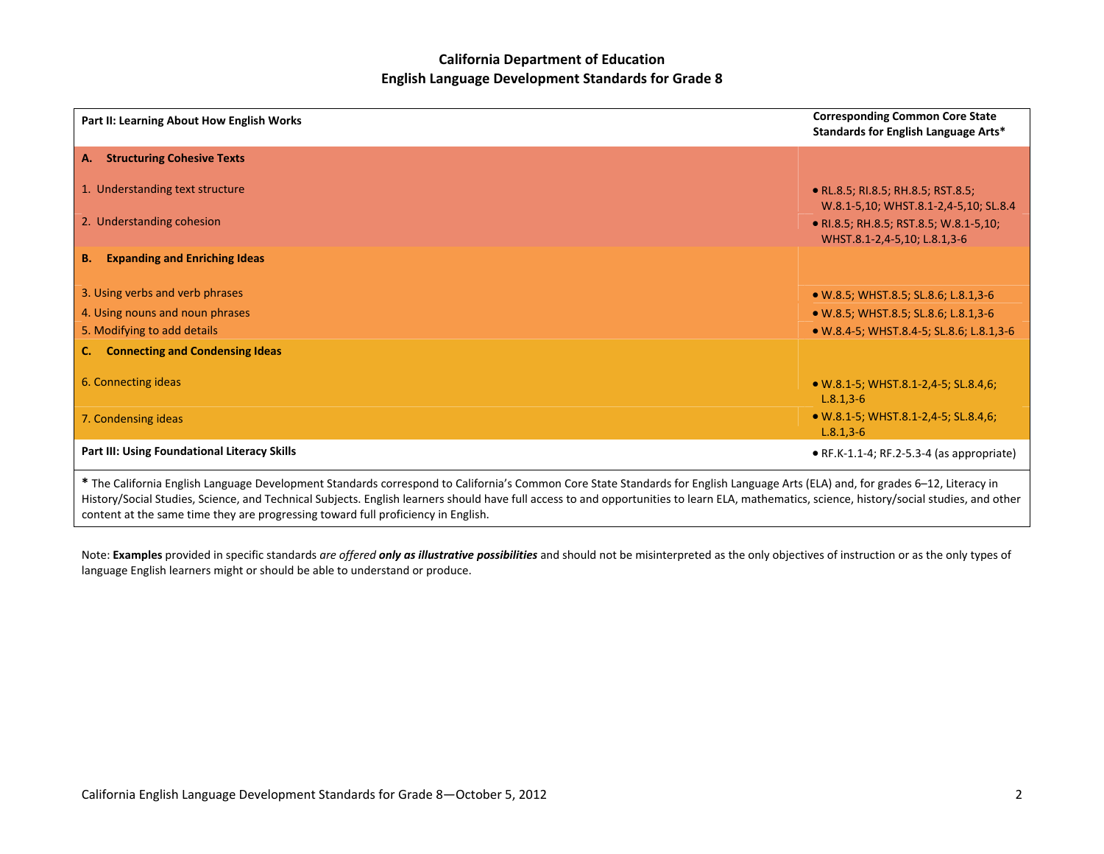| Part II: Learning About How English Works                                                                                                                              | <b>Corresponding Common Core State</b><br>Standards for English Language Arts* |
|------------------------------------------------------------------------------------------------------------------------------------------------------------------------|--------------------------------------------------------------------------------|
| <b>Structuring Cohesive Texts</b><br>A.                                                                                                                                |                                                                                |
| 1. Understanding text structure                                                                                                                                        | • RL.8.5; RI.8.5; RH.8.5; RST.8.5;<br>W.8.1-5,10; WHST.8.1-2,4-5,10; SL.8.4    |
| 2. Understanding cohesion                                                                                                                                              | • RI.8.5; RH.8.5; RST.8.5; W.8.1-5,10;<br>WHST.8.1-2,4-5,10; L.8.1,3-6         |
| <b>Expanding and Enriching Ideas</b><br><b>B.</b>                                                                                                                      |                                                                                |
| 3. Using verbs and verb phrases                                                                                                                                        | • W.8.5; WHST.8.5; SL.8.6; L.8.1,3-6                                           |
| 4. Using nouns and noun phrases                                                                                                                                        | • W.8.5; WHST.8.5; SL.8.6; L.8.1,3-6                                           |
| 5. Modifying to add details                                                                                                                                            | • W.8.4-5; WHST.8.4-5; SL.8.6; L.8.1,3-6                                       |
| <b>Connecting and Condensing Ideas</b><br>$\mathsf{C}$ .                                                                                                               |                                                                                |
| 6. Connecting ideas                                                                                                                                                    | • W.8.1-5; WHST.8.1-2,4-5; SL.8.4,6;<br>$L.8.1, 3-6$                           |
| 7. Condensing ideas                                                                                                                                                    | • W.8.1-5; WHST.8.1-2,4-5; SL.8.4,6;<br>$L.8.1, 3-6$                           |
| Part III: Using Foundational Literacy Skills                                                                                                                           | $\bullet$ RF.K-1.1-4; RF.2-5.3-4 (as appropriate)                              |
| * The Colifornia Fraileb Longwood Development Chardrode componed to Coliforniale Common Case Chardrode for Fraileb Longwood Arts (FLA) and for modera C. 40, Harmon in |                                                                                |

**\*** The California English Language Development Standards correspond to California's Common Core State Standards for English Language Arts (ELA) and, for grades 6–12, Literacy in History/Social Studies, Science, and Technical Subjects. English learners should have full access to and opportunities to learn ELA, mathematics, science, history/social studies, and other content at the same time they are progressing toward full proficiency in English.

Note: **Examples** provided in specific standards *are offered only as illustrative possibilities* and should not be misinterpreted as the only objectives of instruction or as the only types of language English learners might or should be able to understand or produce.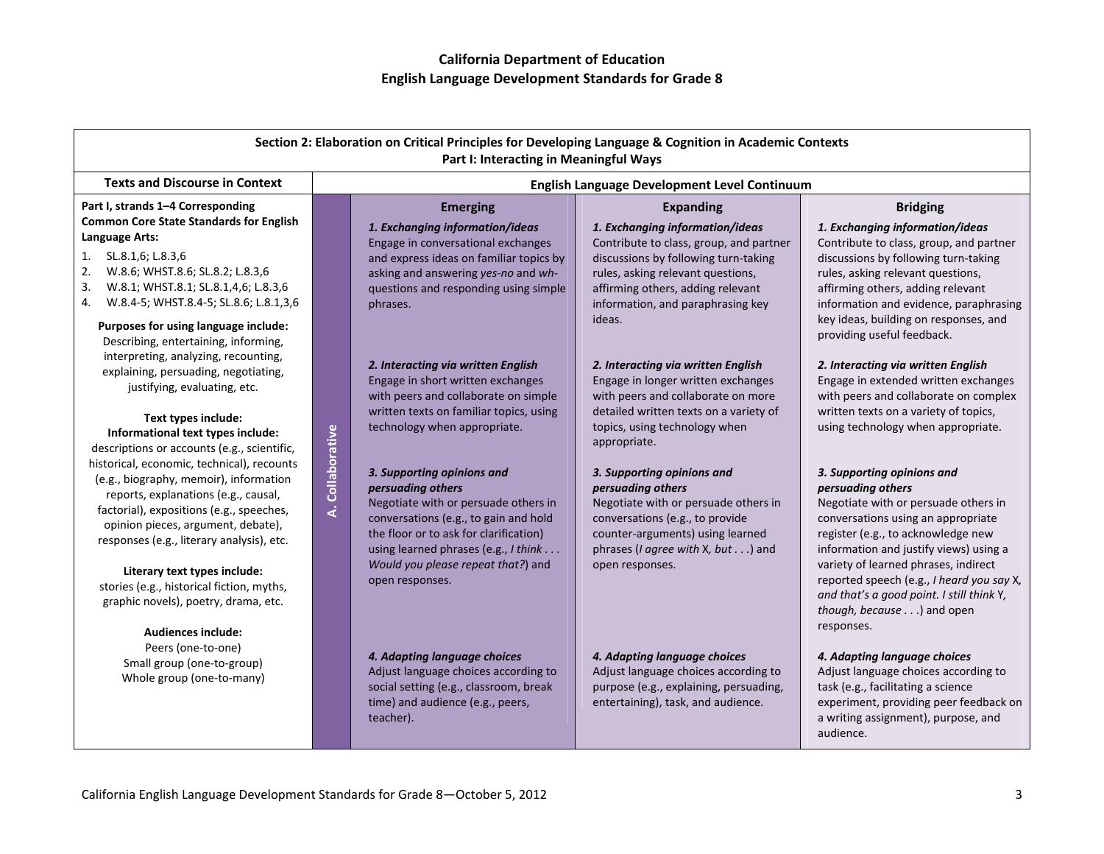| Section 2: Elaboration on Critical Principles for Developing Language & Cognition in Academic Contexts<br>Part I: Interacting in Meaningful Ways                                                                                                                                                                                                                                                                                                                                                                                                                                                                                                                                                                                                                                                          |                  |                                                                                                                                                                                                                                                                                                                                                                                                                                                                                                                                                                                                                                              |                                                                                                                                                                                                                                                                                                                                                                                                                                                                                                                                                                                                       |                                                                                                                                                                                                                                                                                                                                                                                                                                                                                                                                                                                                                                                                                                                                                                                                                                                                                      |
|-----------------------------------------------------------------------------------------------------------------------------------------------------------------------------------------------------------------------------------------------------------------------------------------------------------------------------------------------------------------------------------------------------------------------------------------------------------------------------------------------------------------------------------------------------------------------------------------------------------------------------------------------------------------------------------------------------------------------------------------------------------------------------------------------------------|------------------|----------------------------------------------------------------------------------------------------------------------------------------------------------------------------------------------------------------------------------------------------------------------------------------------------------------------------------------------------------------------------------------------------------------------------------------------------------------------------------------------------------------------------------------------------------------------------------------------------------------------------------------------|-------------------------------------------------------------------------------------------------------------------------------------------------------------------------------------------------------------------------------------------------------------------------------------------------------------------------------------------------------------------------------------------------------------------------------------------------------------------------------------------------------------------------------------------------------------------------------------------------------|--------------------------------------------------------------------------------------------------------------------------------------------------------------------------------------------------------------------------------------------------------------------------------------------------------------------------------------------------------------------------------------------------------------------------------------------------------------------------------------------------------------------------------------------------------------------------------------------------------------------------------------------------------------------------------------------------------------------------------------------------------------------------------------------------------------------------------------------------------------------------------------|
| <b>Texts and Discourse in Context</b>                                                                                                                                                                                                                                                                                                                                                                                                                                                                                                                                                                                                                                                                                                                                                                     |                  |                                                                                                                                                                                                                                                                                                                                                                                                                                                                                                                                                                                                                                              | English Language Development Level Continuum                                                                                                                                                                                                                                                                                                                                                                                                                                                                                                                                                          |                                                                                                                                                                                                                                                                                                                                                                                                                                                                                                                                                                                                                                                                                                                                                                                                                                                                                      |
| Part I, strands 1-4 Corresponding<br><b>Common Core State Standards for English</b><br>Language Arts:<br>1. SL.8.1,6; L.8.3,6<br>2.<br>W.8.6; WHST.8.6; SL.8.2; L.8.3,6<br>W.8.1; WHST.8.1; SL.8.1,4,6; L.8.3,6<br>3.<br>4. W.8.4-5; WHST.8.4-5; SL.8.6; L.8.1,3,6                                                                                                                                                                                                                                                                                                                                                                                                                                                                                                                                        |                  | <b>Emerging</b><br>1. Exchanging information/ideas<br>Engage in conversational exchanges<br>and express ideas on familiar topics by<br>asking and answering yes-no and wh-<br>questions and responding using simple<br>phrases.                                                                                                                                                                                                                                                                                                                                                                                                              | <b>Expanding</b><br>1. Exchanging information/ideas<br>Contribute to class, group, and partner<br>discussions by following turn-taking<br>rules, asking relevant questions,<br>affirming others, adding relevant<br>information, and paraphrasing key                                                                                                                                                                                                                                                                                                                                                 | <b>Bridging</b><br>1. Exchanging information/ideas<br>Contribute to class, group, and partner<br>discussions by following turn-taking<br>rules, asking relevant questions,<br>affirming others, adding relevant<br>information and evidence, paraphrasing                                                                                                                                                                                                                                                                                                                                                                                                                                                                                                                                                                                                                            |
| Purposes for using language include:<br>Describing, entertaining, informing,<br>interpreting, analyzing, recounting,<br>explaining, persuading, negotiating,<br>justifying, evaluating, etc.<br>Text types include:<br>Informational text types include:<br>descriptions or accounts (e.g., scientific,<br>historical, economic, technical), recounts<br>(e.g., biography, memoir), information<br>reports, explanations (e.g., causal,<br>factorial), expositions (e.g., speeches,<br>opinion pieces, argument, debate),<br>responses (e.g., literary analysis), etc.<br>Literary text types include:<br>stories (e.g., historical fiction, myths,<br>graphic novels), poetry, drama, etc.<br><b>Audiences include:</b><br>Peers (one-to-one)<br>Small group (one-to-group)<br>Whole group (one-to-many) | A. Collaborative | 2. Interacting via written English<br>Engage in short written exchanges<br>with peers and collaborate on simple<br>written texts on familiar topics, using<br>technology when appropriate.<br>3. Supporting opinions and<br>persuading others<br>Negotiate with or persuade others in<br>conversations (e.g., to gain and hold<br>the floor or to ask for clarification)<br>using learned phrases (e.g., I think<br>Would you please repeat that?) and<br>open responses.<br>4. Adapting language choices<br>Adjust language choices according to<br>social setting (e.g., classroom, break<br>time) and audience (e.g., peers,<br>teacher). | ideas.<br>2. Interacting via written English<br>Engage in longer written exchanges<br>with peers and collaborate on more<br>detailed written texts on a variety of<br>topics, using technology when<br>appropriate.<br>3. Supporting opinions and<br>persuading others<br>Negotiate with or persuade others in<br>conversations (e.g., to provide<br>counter-arguments) using learned<br>phrases (I agree with X, but) and<br>open responses.<br>4. Adapting language choices<br>Adjust language choices according to<br>purpose (e.g., explaining, persuading,<br>entertaining), task, and audience. | key ideas, building on responses, and<br>providing useful feedback.<br>2. Interacting via written English<br>Engage in extended written exchanges<br>with peers and collaborate on complex<br>written texts on a variety of topics,<br>using technology when appropriate.<br>3. Supporting opinions and<br>persuading others<br>Negotiate with or persuade others in<br>conversations using an appropriate<br>register (e.g., to acknowledge new<br>information and justify views) using a<br>variety of learned phrases, indirect<br>reported speech (e.g., I heard you say X,<br>and that's a good point. I still think Y,<br>though, because ) and open<br>responses.<br>4. Adapting language choices<br>Adjust language choices according to<br>task (e.g., facilitating a science<br>experiment, providing peer feedback on<br>a writing assignment), purpose, and<br>audience. |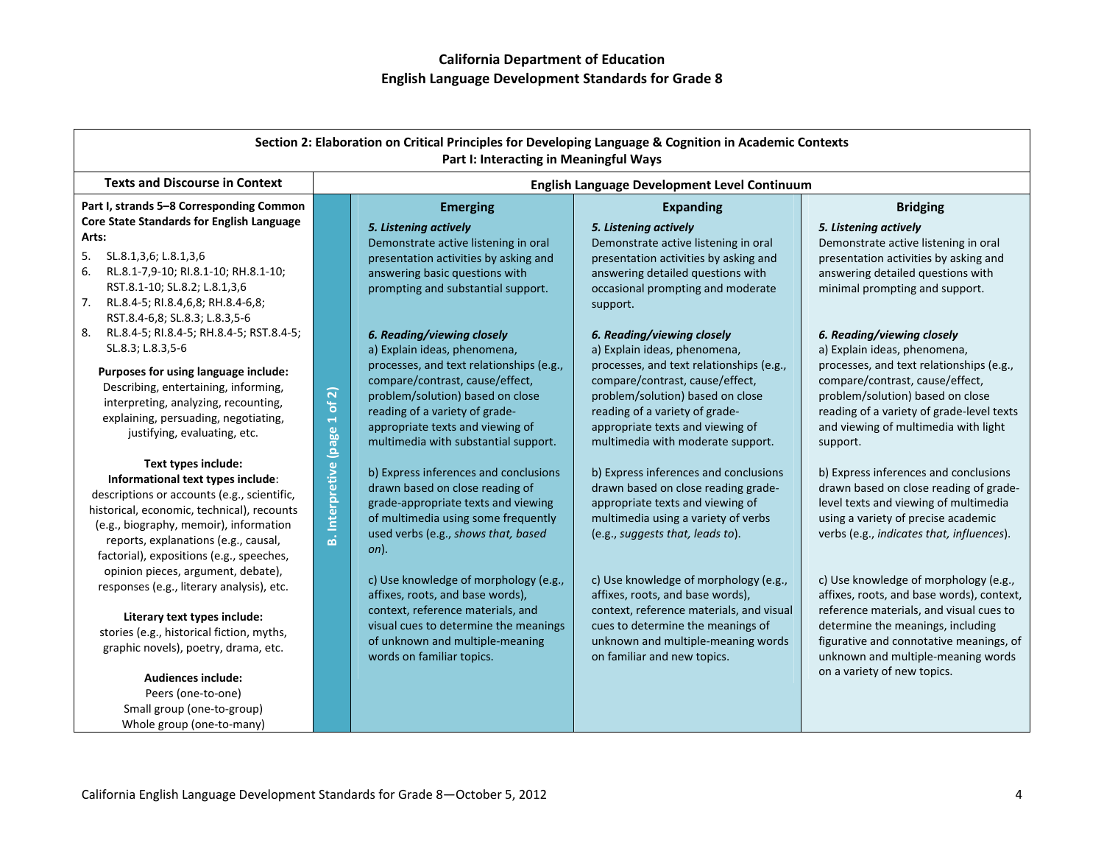| Section 2: Elaboration on Critical Principles for Developing Language & Cognition in Academic Contexts<br>Part I: Interacting in Meaningful Ways                                                                                                                                    |                                      |                                                                                                                                                                                                                               |                                                                                                                                                                                                                            |                                                                                                                                                                                                                  |
|-------------------------------------------------------------------------------------------------------------------------------------------------------------------------------------------------------------------------------------------------------------------------------------|--------------------------------------|-------------------------------------------------------------------------------------------------------------------------------------------------------------------------------------------------------------------------------|----------------------------------------------------------------------------------------------------------------------------------------------------------------------------------------------------------------------------|------------------------------------------------------------------------------------------------------------------------------------------------------------------------------------------------------------------|
| <b>Texts and Discourse in Context</b>                                                                                                                                                                                                                                               |                                      | English Language Development Level Continuum                                                                                                                                                                                  |                                                                                                                                                                                                                            |                                                                                                                                                                                                                  |
| Part I, strands 5-8 Corresponding Common                                                                                                                                                                                                                                            |                                      | <b>Emerging</b>                                                                                                                                                                                                               | <b>Expanding</b>                                                                                                                                                                                                           | <b>Bridging</b>                                                                                                                                                                                                  |
| <b>Core State Standards for English Language</b><br>Arts:<br>5.<br>SL.8.1,3,6; L.8.1,3,6<br>6.<br>RL.8.1-7,9-10; RI.8.1-10; RH.8.1-10;<br>RST.8.1-10; SL.8.2; L.8.1,3,6<br>7.<br>RL.8.4-5; RI.8.4,6,8; RH.8.4-6,8;<br>RST.8.4-6,8; SL.8.3; L.8.3,5-6                                |                                      | 5. Listening actively<br>Demonstrate active listening in oral<br>presentation activities by asking and<br>answering basic questions with<br>prompting and substantial support.                                                | 5. Listening actively<br>Demonstrate active listening in oral<br>presentation activities by asking and<br>answering detailed questions with<br>occasional prompting and moderate<br>support.                               | 5. Listening actively<br>Demonstrate active listening in oral<br>presentation activities by asking and<br>answering detailed questions with<br>minimal prompting and support.                                    |
| 8.<br>RL.8.4-5; RI.8.4-5; RH.8.4-5; RST.8.4-5;<br>SL.8.3; L.8.3,5-6                                                                                                                                                                                                                 |                                      | 6. Reading/viewing closely<br>a) Explain ideas, phenomena,                                                                                                                                                                    | 6. Reading/viewing closely<br>a) Explain ideas, phenomena,                                                                                                                                                                 | 6. Reading/viewing closely<br>a) Explain ideas, phenomena,                                                                                                                                                       |
| Purposes for using language include:<br>Describing, entertaining, informing,<br>interpreting, analyzing, recounting,<br>explaining, persuading, negotiating,<br>justifying, evaluating, etc.                                                                                        |                                      | processes, and text relationships (e.g.,<br>compare/contrast, cause/effect,<br>problem/solution) based on close<br>reading of a variety of grade-<br>appropriate texts and viewing of<br>multimedia with substantial support. | processes, and text relationships (e.g.,<br>compare/contrast, cause/effect,<br>problem/solution) based on close<br>reading of a variety of grade-<br>appropriate texts and viewing of<br>multimedia with moderate support. | processes, and text relationships (e.g.,<br>compare/contrast, cause/effect,<br>problem/solution) based on close<br>reading of a variety of grade-level texts<br>and viewing of multimedia with light<br>support. |
| Text types include:<br>Informational text types include:<br>descriptions or accounts (e.g., scientific,<br>historical, economic, technical), recounts<br>(e.g., biography, memoir), information<br>reports, explanations (e.g., causal,<br>factorial), expositions (e.g., speeches, | <b>B.</b> Interpretive (page 1 of 2) | b) Express inferences and conclusions<br>drawn based on close reading of<br>grade-appropriate texts and viewing<br>of multimedia using some frequently<br>used verbs (e.g., shows that, based<br>$on$ ).                      | b) Express inferences and conclusions<br>drawn based on close reading grade-<br>appropriate texts and viewing of<br>multimedia using a variety of verbs<br>(e.g., suggests that, leads to).                                | b) Express inferences and conclusions<br>drawn based on close reading of grade-<br>level texts and viewing of multimedia<br>using a variety of precise academic<br>verbs (e.g., indicates that, influences).     |
| opinion pieces, argument, debate),<br>responses (e.g., literary analysis), etc.                                                                                                                                                                                                     |                                      | c) Use knowledge of morphology (e.g.,<br>affixes, roots, and base words),                                                                                                                                                     | c) Use knowledge of morphology (e.g.,<br>affixes, roots, and base words),                                                                                                                                                  | c) Use knowledge of morphology (e.g.,<br>affixes, roots, and base words), context,                                                                                                                               |
| Literary text types include:<br>stories (e.g., historical fiction, myths,<br>graphic novels), poetry, drama, etc.                                                                                                                                                                   |                                      | context, reference materials, and<br>visual cues to determine the meanings<br>of unknown and multiple-meaning<br>words on familiar topics.                                                                                    | context, reference materials, and visual<br>cues to determine the meanings of<br>unknown and multiple-meaning words<br>on familiar and new topics.                                                                         | reference materials, and visual cues to<br>determine the meanings, including<br>figurative and connotative meanings, of<br>unknown and multiple-meaning words                                                    |
| <b>Audiences include:</b><br>Peers (one-to-one)                                                                                                                                                                                                                                     |                                      |                                                                                                                                                                                                                               |                                                                                                                                                                                                                            | on a variety of new topics.                                                                                                                                                                                      |
| Small group (one-to-group)<br>Whole group (one-to-many)                                                                                                                                                                                                                             |                                      |                                                                                                                                                                                                                               |                                                                                                                                                                                                                            |                                                                                                                                                                                                                  |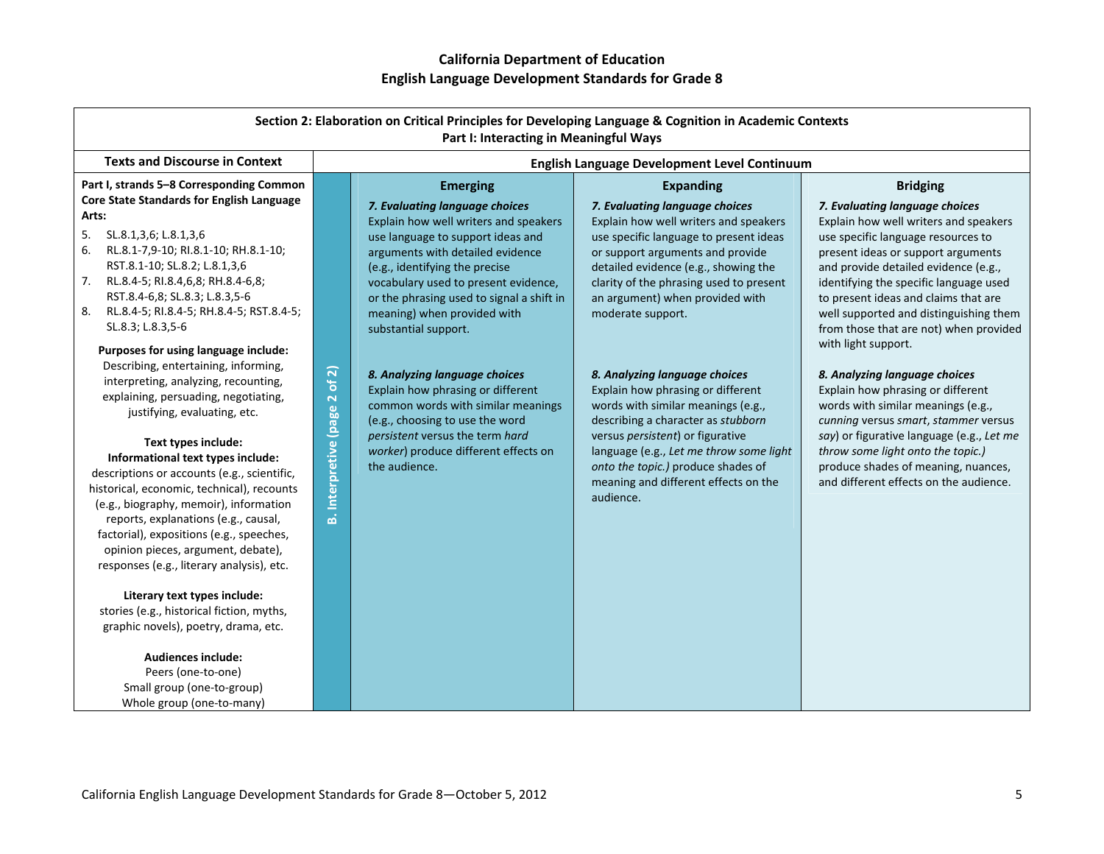| Section 2: Elaboration on Critical Principles for Developing Language & Cognition in Academic Contexts<br>Part I: Interacting in Meaningful Ways                                                                                                                                                                                                                                                                                                                                                                                                                                                                                                     |                                |                                                                                                                                                                                                                                                                                                                                                                                    |                                                                                                                                                                                                                                                                                                                                                       |                                                                                                                                                                                                                                                                                                                                                                                                                                              |
|------------------------------------------------------------------------------------------------------------------------------------------------------------------------------------------------------------------------------------------------------------------------------------------------------------------------------------------------------------------------------------------------------------------------------------------------------------------------------------------------------------------------------------------------------------------------------------------------------------------------------------------------------|--------------------------------|------------------------------------------------------------------------------------------------------------------------------------------------------------------------------------------------------------------------------------------------------------------------------------------------------------------------------------------------------------------------------------|-------------------------------------------------------------------------------------------------------------------------------------------------------------------------------------------------------------------------------------------------------------------------------------------------------------------------------------------------------|----------------------------------------------------------------------------------------------------------------------------------------------------------------------------------------------------------------------------------------------------------------------------------------------------------------------------------------------------------------------------------------------------------------------------------------------|
| <b>Texts and Discourse in Context</b>                                                                                                                                                                                                                                                                                                                                                                                                                                                                                                                                                                                                                |                                |                                                                                                                                                                                                                                                                                                                                                                                    | English Language Development Level Continuum                                                                                                                                                                                                                                                                                                          |                                                                                                                                                                                                                                                                                                                                                                                                                                              |
| Part I, strands 5-8 Corresponding Common<br>Core State Standards for English Language<br>Arts:<br>5.<br>SL.8.1,3,6; L.8.1,3,6<br>6.<br>RL.8.1-7,9-10; RI.8.1-10; RH.8.1-10;<br>RST.8.1-10; SL.8.2; L.8.1,3,6<br>7.<br>RL.8.4-5; RI.8.4,6,8; RH.8.4-6,8;<br>RST.8.4-6,8; SL.8.3; L.8.3,5-6<br>8.<br>RL.8.4-5; RI.8.4-5; RH.8.4-5; RST.8.4-5;<br>SL.8.3; L.8.3,5-6<br>Purposes for using language include:<br>Describing, entertaining, informing,<br>interpreting, analyzing, recounting,                                                                                                                                                             | of 2)                          | <b>Emerging</b><br>7. Evaluating language choices<br>Explain how well writers and speakers<br>use language to support ideas and<br>arguments with detailed evidence<br>(e.g., identifying the precise<br>vocabulary used to present evidence,<br>or the phrasing used to signal a shift in<br>meaning) when provided with<br>substantial support.<br>8. Analyzing language choices | <b>Expanding</b><br>7. Evaluating language choices<br>Explain how well writers and speakers<br>use specific language to present ideas<br>or support arguments and provide<br>detailed evidence (e.g., showing the<br>clarity of the phrasing used to present<br>an argument) when provided with<br>moderate support.<br>8. Analyzing language choices | <b>Bridging</b><br>7. Evaluating language choices<br>Explain how well writers and speakers<br>use specific language resources to<br>present ideas or support arguments<br>and provide detailed evidence (e.g.,<br>identifying the specific language used<br>to present ideas and claims that are<br>well supported and distinguishing them<br>from those that are not) when provided<br>with light support.<br>8. Analyzing language choices |
| explaining, persuading, negotiating,<br>justifying, evaluating, etc.<br>Text types include:<br>Informational text types include:<br>descriptions or accounts (e.g., scientific,<br>historical, economic, technical), recounts<br>(e.g., biography, memoir), information<br>reports, explanations (e.g., causal,<br>factorial), expositions (e.g., speeches,<br>opinion pieces, argument, debate),<br>responses (e.g., literary analysis), etc.<br>Literary text types include:<br>stories (e.g., historical fiction, myths,<br>graphic novels), poetry, drama, etc.<br><b>Audiences include:</b><br>Peers (one-to-one)<br>Small group (one-to-group) | <b>B.</b> Interpretive (page 2 | Explain how phrasing or different<br>common words with similar meanings<br>(e.g., choosing to use the word<br>persistent versus the term hard<br>worker) produce different effects on<br>the audience.                                                                                                                                                                             | Explain how phrasing or different<br>words with similar meanings (e.g.,<br>describing a character as stubborn<br>versus persistent) or figurative<br>language (e.g., Let me throw some light<br>onto the topic.) produce shades of<br>meaning and different effects on the<br>audience.                                                               | Explain how phrasing or different<br>words with similar meanings (e.g.,<br>cunning versus smart, stammer versus<br>say) or figurative language (e.g., Let me<br>throw some light onto the topic.)<br>produce shades of meaning, nuances,<br>and different effects on the audience.                                                                                                                                                           |

Whole group (one‐to‐many)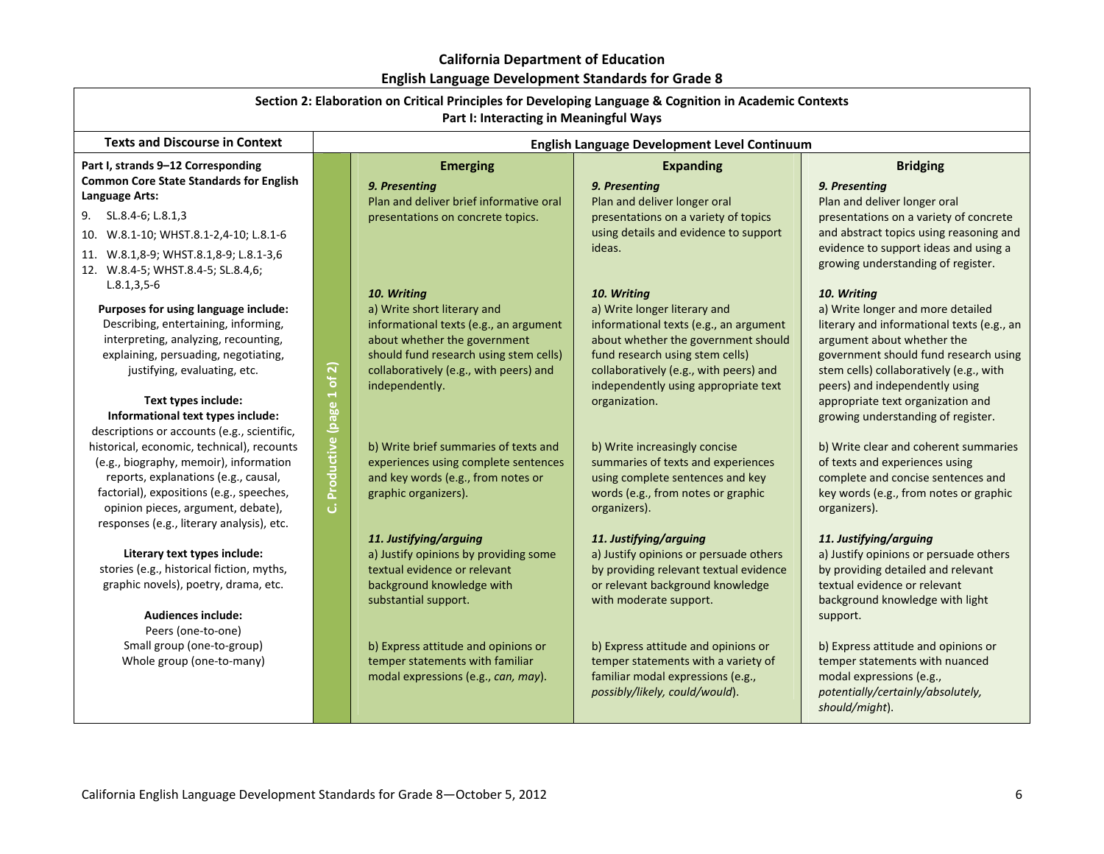# **California Department of Education**

**English Language Development Standards for Grade 8**

| Section 2: Elaboration on Critical Principles for Developing Language & Cognition in Academic Contexts<br>Part I: Interacting in Meaningful Ways                                                                                                                                                                   |                               |                                                                                                                                                                                                                            |                                                                                                                                                                                                                                                                    |                                                                                                                                                                                                                                                                                                                               |
|--------------------------------------------------------------------------------------------------------------------------------------------------------------------------------------------------------------------------------------------------------------------------------------------------------------------|-------------------------------|----------------------------------------------------------------------------------------------------------------------------------------------------------------------------------------------------------------------------|--------------------------------------------------------------------------------------------------------------------------------------------------------------------------------------------------------------------------------------------------------------------|-------------------------------------------------------------------------------------------------------------------------------------------------------------------------------------------------------------------------------------------------------------------------------------------------------------------------------|
| <b>Texts and Discourse in Context</b>                                                                                                                                                                                                                                                                              |                               |                                                                                                                                                                                                                            | English Language Development Level Continuum                                                                                                                                                                                                                       |                                                                                                                                                                                                                                                                                                                               |
| Part I, strands 9-12 Corresponding<br><b>Common Core State Standards for English</b><br>Language Arts:                                                                                                                                                                                                             |                               | <b>Emerging</b><br>9. Presenting<br>Plan and deliver brief informative oral                                                                                                                                                | <b>Expanding</b><br>9. Presenting<br>Plan and deliver longer oral                                                                                                                                                                                                  | <b>Bridging</b><br>9. Presenting<br>Plan and deliver longer oral                                                                                                                                                                                                                                                              |
| SL.8.4-6; L.8.1,3<br>9.<br>10. W.8.1-10; WHST.8.1-2,4-10; L.8.1-6<br>11. W.8.1,8-9; WHST.8.1,8-9; L.8.1-3,6                                                                                                                                                                                                        |                               | presentations on concrete topics.                                                                                                                                                                                          | presentations on a variety of topics<br>using details and evidence to support<br>ideas.                                                                                                                                                                            | presentations on a variety of concrete<br>and abstract topics using reasoning and<br>evidence to support ideas and using a<br>growing understanding of register.                                                                                                                                                              |
| 12. W.8.4-5; WHST.8.4-5; SL.8.4,6;<br>$L.8.1, 3.5 - 6$<br>Purposes for using language include:<br>Describing, entertaining, informing,<br>interpreting, analyzing, recounting,<br>explaining, persuading, negotiating,<br>justifying, evaluating, etc.<br>Text types include:<br>Informational text types include: |                               | 10. Writing<br>a) Write short literary and<br>informational texts (e.g., an argument<br>about whether the government<br>should fund research using stem cells)<br>collaboratively (e.g., with peers) and<br>independently. | 10. Writing<br>a) Write longer literary and<br>informational texts (e.g., an argument<br>about whether the government should<br>fund research using stem cells)<br>collaboratively (e.g., with peers) and<br>independently using appropriate text<br>organization. | 10. Writing<br>a) Write longer and more detailed<br>literary and informational texts (e.g., an<br>argument about whether the<br>government should fund research using<br>stem cells) collaboratively (e.g., with<br>peers) and independently using<br>appropriate text organization and<br>growing understanding of register. |
| descriptions or accounts (e.g., scientific,<br>historical, economic, technical), recounts<br>(e.g., biography, memoir), information<br>reports, explanations (e.g., causal,<br>factorial), expositions (e.g., speeches,<br>opinion pieces, argument, debate),<br>responses (e.g., literary analysis), etc.         | Productive (page 1 of 2)<br>ن | b) Write brief summaries of texts and<br>experiences using complete sentences<br>and key words (e.g., from notes or<br>graphic organizers).                                                                                | b) Write increasingly concise<br>summaries of texts and experiences<br>using complete sentences and key<br>words (e.g., from notes or graphic<br>organizers).                                                                                                      | b) Write clear and coherent summaries<br>of texts and experiences using<br>complete and concise sentences and<br>key words (e.g., from notes or graphic<br>organizers).                                                                                                                                                       |
| Literary text types include:<br>stories (e.g., historical fiction, myths,<br>graphic novels), poetry, drama, etc.<br><b>Audiences include:</b><br>Peers (one-to-one)                                                                                                                                               |                               | 11. Justifying/arguing<br>a) Justify opinions by providing some<br>textual evidence or relevant<br>background knowledge with<br>substantial support.                                                                       | 11. Justifying/arguing<br>a) Justify opinions or persuade others<br>by providing relevant textual evidence<br>or relevant background knowledge<br>with moderate support.                                                                                           | 11. Justifying/arguing<br>a) Justify opinions or persuade others<br>by providing detailed and relevant<br>textual evidence or relevant<br>background knowledge with light<br>support.                                                                                                                                         |
| Small group (one-to-group)<br>Whole group (one-to-many)                                                                                                                                                                                                                                                            |                               | b) Express attitude and opinions or<br>temper statements with familiar<br>modal expressions (e.g., can, may).                                                                                                              | b) Express attitude and opinions or<br>temper statements with a variety of<br>familiar modal expressions (e.g.,<br>possibly/likely, could/would).                                                                                                                  | b) Express attitude and opinions or<br>temper statements with nuanced<br>modal expressions (e.g.,<br>potentially/certainly/absolutely,<br>should/might).                                                                                                                                                                      |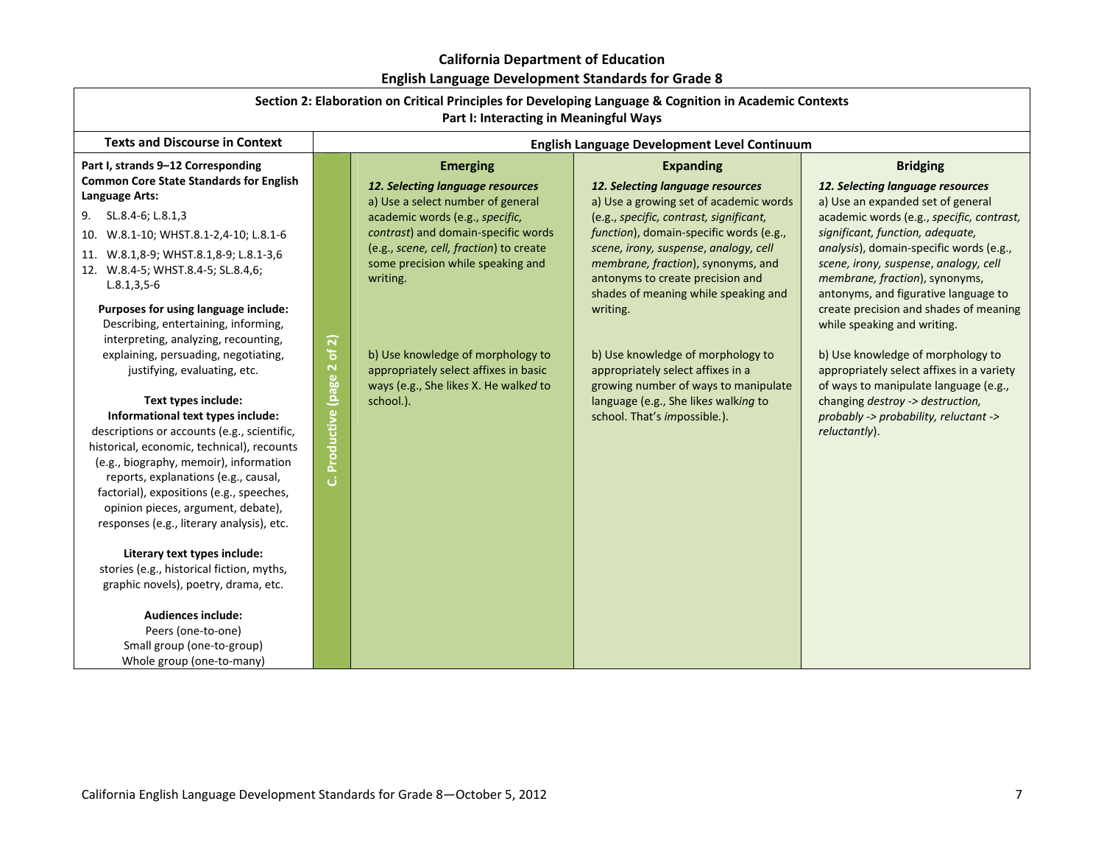| Section 2: Elaboration on Critical Principles for Developing Language & Cognition in Academic Contexts<br>Part I: Interacting in Meaningful Ways                                                                                                                                                                                                                                |                         |                                                                                                                                                                    |                                                                                                                                                                                                                                               |                                                                                                                                                                                                                                             |
|---------------------------------------------------------------------------------------------------------------------------------------------------------------------------------------------------------------------------------------------------------------------------------------------------------------------------------------------------------------------------------|-------------------------|--------------------------------------------------------------------------------------------------------------------------------------------------------------------|-----------------------------------------------------------------------------------------------------------------------------------------------------------------------------------------------------------------------------------------------|---------------------------------------------------------------------------------------------------------------------------------------------------------------------------------------------------------------------------------------------|
| <b>Texts and Discourse in Context</b>                                                                                                                                                                                                                                                                                                                                           |                         |                                                                                                                                                                    | English Language Development Level Continuum                                                                                                                                                                                                  |                                                                                                                                                                                                                                             |
| Part I, strands 9-12 Corresponding<br><b>Common Core State Standards for English</b><br>Language Arts:                                                                                                                                                                                                                                                                          |                         | <b>Emerging</b><br>12. Selecting language resources<br>a) Use a select number of general                                                                           | <b>Expanding</b><br>12. Selecting language resources<br>a) Use a growing set of academic words                                                                                                                                                | <b>Bridging</b><br>12. Selecting language resources<br>a) Use an expanded set of general                                                                                                                                                    |
| 9. SL.8.4-6; L.8.1,3<br>10. W.8.1-10; WHST.8.1-2,4-10; L.8.1-6<br>11. W.8.1,8-9; WHST.8.1,8-9; L.8.1-3,6<br>12. W.8.4-5; WHST.8.4-5; SL.8.4,6;<br>$L.8.1, 3, 5-6$                                                                                                                                                                                                               |                         | academic words (e.g., specific,<br>contrast) and domain-specific words<br>(e.g., scene, cell, fraction) to create<br>some precision while speaking and<br>writing. | (e.g., specific, contrast, significant,<br>function), domain-specific words (e.g.,<br>scene, irony, suspense, analogy, cell<br>membrane, fraction), synonyms, and<br>antonyms to create precision and<br>shades of meaning while speaking and | academic words (e.g., specific, contrast,<br>significant, function, adequate,<br>analysis), domain-specific words (e.g.,<br>scene, irony, suspense, analogy, cell<br>membrane, fraction), synonyms,<br>antonyms, and figurative language to |
| Purposes for using language include:<br>Describing, entertaining, informing,<br>interpreting, analyzing, recounting,<br>explaining, persuading, negotiating,<br>justifying, evaluating, etc.<br>Text types include:                                                                                                                                                             | of 2)                   | b) Use knowledge of morphology to<br>appropriately select affixes in basic<br>ways (e.g., She likes X. He walked to<br>school.).                                   | writing.<br>b) Use knowledge of morphology to<br>appropriately select affixes in a<br>growing number of ways to manipulate<br>language (e.g., She likes walking to                                                                            | create precision and shades of meaning<br>while speaking and writing.<br>b) Use knowledge of morphology to<br>appropriately select affixes in a variety<br>of ways to manipulate language (e.g.,<br>changing destroy -> destruction,        |
| Informational text types include:<br>descriptions or accounts (e.g., scientific,<br>historical, economic, technical), recounts<br>(e.g., biography, memoir), information<br>reports, explanations (e.g., causal,<br>factorial), expositions (e.g., speeches,<br>opinion pieces, argument, debate),<br>responses (e.g., literary analysis), etc.<br>Literary text types include: | Productive (page 2<br>ن |                                                                                                                                                                    | school. That's impossible.).                                                                                                                                                                                                                  | probably -> probability, reluctant -><br>reluctantly).                                                                                                                                                                                      |
| stories (e.g., historical fiction, myths,<br>graphic novels), poetry, drama, etc.<br>Audiences include:<br>Peers (one-to-one)<br>Small group (one-to-group)<br>Whole group (one-to-many)                                                                                                                                                                                        |                         |                                                                                                                                                                    |                                                                                                                                                                                                                                               |                                                                                                                                                                                                                                             |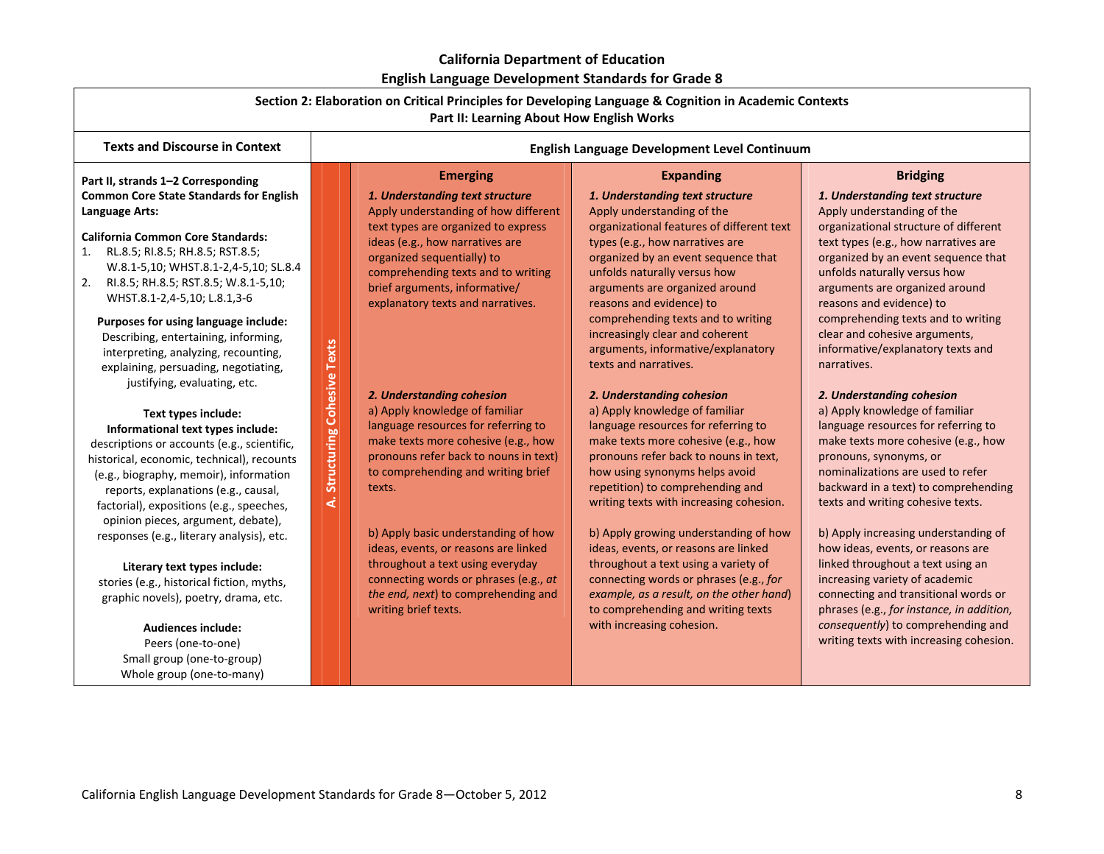| Section 2: Elaboration on Critical Principles for Developing Language & Cognition in Academic Contexts<br>Part II: Learning About How English Works                                                                                                                                                                                                                                                                                                                                                                                                                                                                                                                                                                                                                                                                                                                                                                                                                                                                                                                                                                        |                                                   |                                                                                                                                                                                                                                                                                                                                                                                                                                                                                                                                                                                                                                                                                                                                                                                 |                                                                                                                                                                                                                                                                                                                                                                                                                                                                                                                                                                                                                                                                                                                                                                                                                                                                                                                                                                                                                                         |                                                                                                                                                                                                                                                                                                                                                                                                                                                                                                                                                                                                                                                                                                                                                                                                                                                                                                                                                                                                                                                      |
|----------------------------------------------------------------------------------------------------------------------------------------------------------------------------------------------------------------------------------------------------------------------------------------------------------------------------------------------------------------------------------------------------------------------------------------------------------------------------------------------------------------------------------------------------------------------------------------------------------------------------------------------------------------------------------------------------------------------------------------------------------------------------------------------------------------------------------------------------------------------------------------------------------------------------------------------------------------------------------------------------------------------------------------------------------------------------------------------------------------------------|---------------------------------------------------|---------------------------------------------------------------------------------------------------------------------------------------------------------------------------------------------------------------------------------------------------------------------------------------------------------------------------------------------------------------------------------------------------------------------------------------------------------------------------------------------------------------------------------------------------------------------------------------------------------------------------------------------------------------------------------------------------------------------------------------------------------------------------------|-----------------------------------------------------------------------------------------------------------------------------------------------------------------------------------------------------------------------------------------------------------------------------------------------------------------------------------------------------------------------------------------------------------------------------------------------------------------------------------------------------------------------------------------------------------------------------------------------------------------------------------------------------------------------------------------------------------------------------------------------------------------------------------------------------------------------------------------------------------------------------------------------------------------------------------------------------------------------------------------------------------------------------------------|------------------------------------------------------------------------------------------------------------------------------------------------------------------------------------------------------------------------------------------------------------------------------------------------------------------------------------------------------------------------------------------------------------------------------------------------------------------------------------------------------------------------------------------------------------------------------------------------------------------------------------------------------------------------------------------------------------------------------------------------------------------------------------------------------------------------------------------------------------------------------------------------------------------------------------------------------------------------------------------------------------------------------------------------------|
| <b>Texts and Discourse in Context</b>                                                                                                                                                                                                                                                                                                                                                                                                                                                                                                                                                                                                                                                                                                                                                                                                                                                                                                                                                                                                                                                                                      |                                                   | English Language Development Level Continuum                                                                                                                                                                                                                                                                                                                                                                                                                                                                                                                                                                                                                                                                                                                                    |                                                                                                                                                                                                                                                                                                                                                                                                                                                                                                                                                                                                                                                                                                                                                                                                                                                                                                                                                                                                                                         |                                                                                                                                                                                                                                                                                                                                                                                                                                                                                                                                                                                                                                                                                                                                                                                                                                                                                                                                                                                                                                                      |
| Part II, strands 1-2 Corresponding<br><b>Common Core State Standards for English</b><br>Language Arts:<br><b>California Common Core Standards:</b><br>1. RL.8.5; RI.8.5; RH.8.5; RST.8.5;<br>W.8.1-5,10; WHST.8.1-2,4-5,10; SL.8.4<br>2. RI.8.5; RH.8.5; RST.8.5; W.8.1-5,10;<br>WHST.8.1-2,4-5,10; L.8.1,3-6<br>Purposes for using language include:<br>Describing, entertaining, informing,<br>interpreting, analyzing, recounting,<br>explaining, persuading, negotiating,<br>justifying, evaluating, etc.<br>Text types include:<br>Informational text types include:<br>descriptions or accounts (e.g., scientific,<br>historical, economic, technical), recounts<br>(e.g., biography, memoir), information<br>reports, explanations (e.g., causal,<br>factorial), expositions (e.g., speeches,<br>opinion pieces, argument, debate),<br>responses (e.g., literary analysis), etc.<br>Literary text types include:<br>stories (e.g., historical fiction, myths,<br>graphic novels), poetry, drama, etc.<br><b>Audiences include:</b><br>Peers (one-to-one)<br>Small group (one-to-group)<br>Whole group (one-to-many) | <b>Cohesive Texts</b><br><b>Structuring</b><br>दं | <b>Emerging</b><br>1. Understanding text structure<br>Apply understanding of how different<br>text types are organized to express<br>ideas (e.g., how narratives are<br>organized sequentially) to<br>comprehending texts and to writing<br>brief arguments, informative/<br>explanatory texts and narratives.<br>2. Understanding cohesion<br>a) Apply knowledge of familiar<br>language resources for referring to<br>make texts more cohesive (e.g., how<br>pronouns refer back to nouns in text)<br>to comprehending and writing brief<br>texts.<br>b) Apply basic understanding of how<br>ideas, events, or reasons are linked<br>throughout a text using everyday<br>connecting words or phrases (e.g., at<br>the end, next) to comprehending and<br>writing brief texts. | <b>Expanding</b><br>1. Understanding text structure<br>Apply understanding of the<br>organizational features of different text<br>types (e.g., how narratives are<br>organized by an event sequence that<br>unfolds naturally versus how<br>arguments are organized around<br>reasons and evidence) to<br>comprehending texts and to writing<br>increasingly clear and coherent<br>arguments, informative/explanatory<br>texts and narratives.<br>2. Understanding cohesion<br>a) Apply knowledge of familiar<br>language resources for referring to<br>make texts more cohesive (e.g., how<br>pronouns refer back to nouns in text,<br>how using synonyms helps avoid<br>repetition) to comprehending and<br>writing texts with increasing cohesion.<br>b) Apply growing understanding of how<br>ideas, events, or reasons are linked<br>throughout a text using a variety of<br>connecting words or phrases (e.g., for<br>example, as a result, on the other hand)<br>to comprehending and writing texts<br>with increasing cohesion. | <b>Bridging</b><br>1. Understanding text structure<br>Apply understanding of the<br>organizational structure of different<br>text types (e.g., how narratives are<br>organized by an event sequence that<br>unfolds naturally versus how<br>arguments are organized around<br>reasons and evidence) to<br>comprehending texts and to writing<br>clear and cohesive arguments,<br>informative/explanatory texts and<br>narratives.<br>2. Understanding cohesion<br>a) Apply knowledge of familiar<br>language resources for referring to<br>make texts more cohesive (e.g., how<br>pronouns, synonyms, or<br>nominalizations are used to refer<br>backward in a text) to comprehending<br>texts and writing cohesive texts.<br>b) Apply increasing understanding of<br>how ideas, events, or reasons are<br>linked throughout a text using an<br>increasing variety of academic<br>connecting and transitional words or<br>phrases (e.g., for instance, in addition,<br>consequently) to comprehending and<br>writing texts with increasing cohesion. |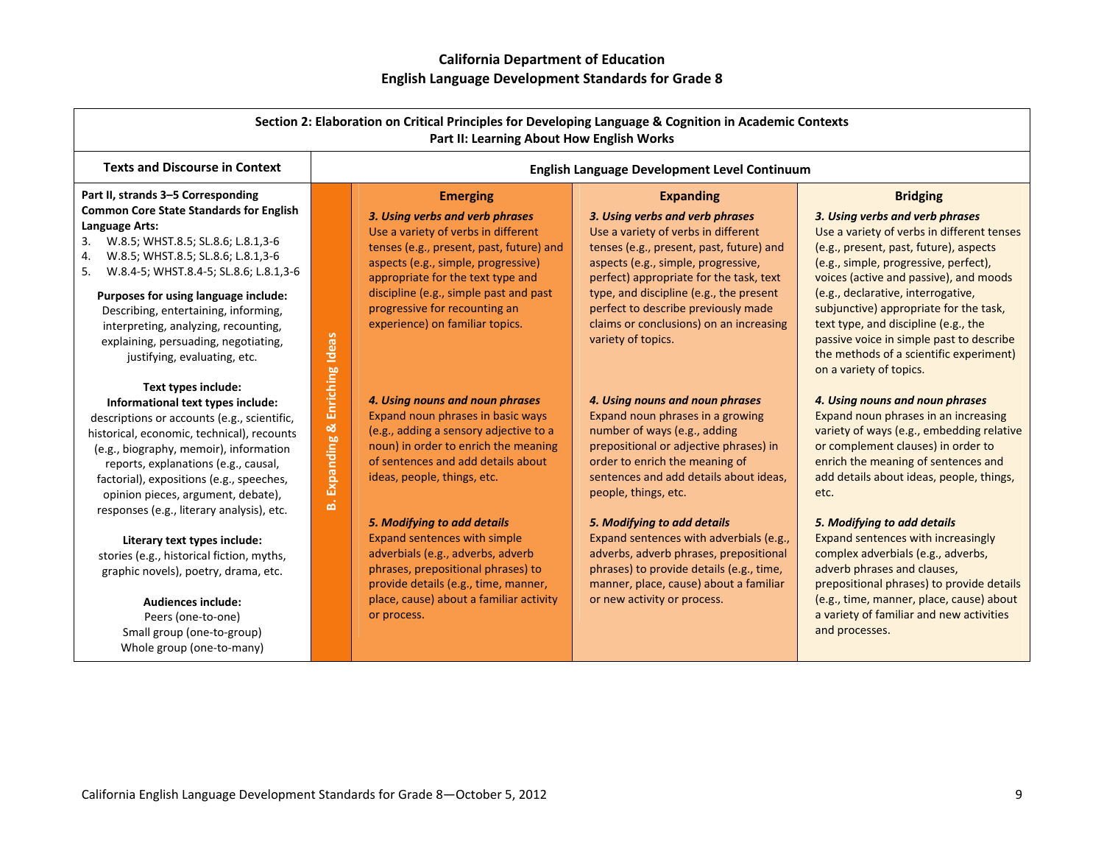| Section 2: Elaboration on Critical Principles for Developing Language & Cognition in Academic Contexts<br>Part II: Learning About How English Works                                                                                                                                                                                                                                                                                                                                                                                                                                                       |                                               |                                                                                                                                                                                                                                                                                                                                                                                                                                                                         |                                                                                                                                                                                                                                                                                                                                                                                                                                                                                            |                                                                                                                                                                                                                                                                                                                                                                                                                                                                                                                                                        |
|-----------------------------------------------------------------------------------------------------------------------------------------------------------------------------------------------------------------------------------------------------------------------------------------------------------------------------------------------------------------------------------------------------------------------------------------------------------------------------------------------------------------------------------------------------------------------------------------------------------|-----------------------------------------------|-------------------------------------------------------------------------------------------------------------------------------------------------------------------------------------------------------------------------------------------------------------------------------------------------------------------------------------------------------------------------------------------------------------------------------------------------------------------------|--------------------------------------------------------------------------------------------------------------------------------------------------------------------------------------------------------------------------------------------------------------------------------------------------------------------------------------------------------------------------------------------------------------------------------------------------------------------------------------------|--------------------------------------------------------------------------------------------------------------------------------------------------------------------------------------------------------------------------------------------------------------------------------------------------------------------------------------------------------------------------------------------------------------------------------------------------------------------------------------------------------------------------------------------------------|
| <b>Texts and Discourse in Context</b>                                                                                                                                                                                                                                                                                                                                                                                                                                                                                                                                                                     |                                               |                                                                                                                                                                                                                                                                                                                                                                                                                                                                         | English Language Development Level Continuum                                                                                                                                                                                                                                                                                                                                                                                                                                               |                                                                                                                                                                                                                                                                                                                                                                                                                                                                                                                                                        |
| Part II, strands 3-5 Corresponding<br><b>Common Core State Standards for English</b><br>Language Arts:<br>W.8.5; WHST.8.5; SL.8.6; L.8.1,3-6<br>3.<br>W.8.5; WHST.8.5; SL.8.6; L.8.1,3-6<br>4.<br>W.8.4-5; WHST.8.4-5; SL.8.6; L.8.1,3-6<br>5.<br>Purposes for using language include:<br>Describing, entertaining, informing,<br>interpreting, analyzing, recounting,<br>explaining, persuading, negotiating,<br>justifying, evaluating, etc.                                                                                                                                                            |                                               | <b>Emerging</b><br>3. Using verbs and verb phrases<br>Use a variety of verbs in different<br>tenses (e.g., present, past, future) and<br>aspects (e.g., simple, progressive)<br>appropriate for the text type and<br>discipline (e.g., simple past and past<br>progressive for recounting an<br>experience) on familiar topics.                                                                                                                                         | <b>Expanding</b><br>3. Using verbs and verb phrases<br>Use a variety of verbs in different<br>tenses (e.g., present, past, future) and<br>aspects (e.g., simple, progressive,<br>perfect) appropriate for the task, text<br>type, and discipline (e.g., the present<br>perfect to describe previously made<br>claims or conclusions) on an increasing<br>variety of topics.                                                                                                                | <b>Bridging</b><br>3. Using verbs and verb phrases<br>Use a variety of verbs in different tenses<br>(e.g., present, past, future), aspects<br>(e.g., simple, progressive, perfect),<br>voices (active and passive), and moods<br>(e.g., declarative, interrogative,<br>subjunctive) appropriate for the task,<br>text type, and discipline (e.g., the<br>passive voice in simple past to describe<br>the methods of a scientific experiment)<br>on a variety of topics.                                                                                |
| Text types include:<br>Informational text types include:<br>descriptions or accounts (e.g., scientific,<br>historical, economic, technical), recounts<br>(e.g., biography, memoir), information<br>reports, explanations (e.g., causal,<br>factorial), expositions (e.g., speeches,<br>opinion pieces, argument, debate),<br>responses (e.g., literary analysis), etc.<br>Literary text types include:<br>stories (e.g., historical fiction, myths,<br>graphic novels), poetry, drama, etc.<br><b>Audiences include:</b><br>Peers (one-to-one)<br>Small group (one-to-group)<br>Whole group (one-to-many) | Expanding & Enriching Ideas<br>$\vec{\omega}$ | 4. Using nouns and noun phrases<br>Expand noun phrases in basic ways<br>(e.g., adding a sensory adjective to a<br>noun) in order to enrich the meaning<br>of sentences and add details about<br>ideas, people, things, etc.<br>5. Modifying to add details<br>Expand sentences with simple<br>adverbials (e.g., adverbs, adverb<br>phrases, prepositional phrases) to<br>provide details (e.g., time, manner,<br>place, cause) about a familiar activity<br>or process. | 4. Using nouns and noun phrases<br>Expand noun phrases in a growing<br>number of ways (e.g., adding<br>prepositional or adjective phrases) in<br>order to enrich the meaning of<br>sentences and add details about ideas,<br>people, things, etc.<br>5. Modifying to add details<br>Expand sentences with adverbials (e.g.,<br>adverbs, adverb phrases, prepositional<br>phrases) to provide details (e.g., time,<br>manner, place, cause) about a familiar<br>or new activity or process. | 4. Using nouns and noun phrases<br>Expand noun phrases in an increasing<br>variety of ways (e.g., embedding relative<br>or complement clauses) in order to<br>enrich the meaning of sentences and<br>add details about ideas, people, things,<br>etc.<br>5. Modifying to add details<br>Expand sentences with increasingly<br>complex adverbials (e.g., adverbs,<br>adverb phrases and clauses,<br>prepositional phrases) to provide details<br>(e.g., time, manner, place, cause) about<br>a variety of familiar and new activities<br>and processes. |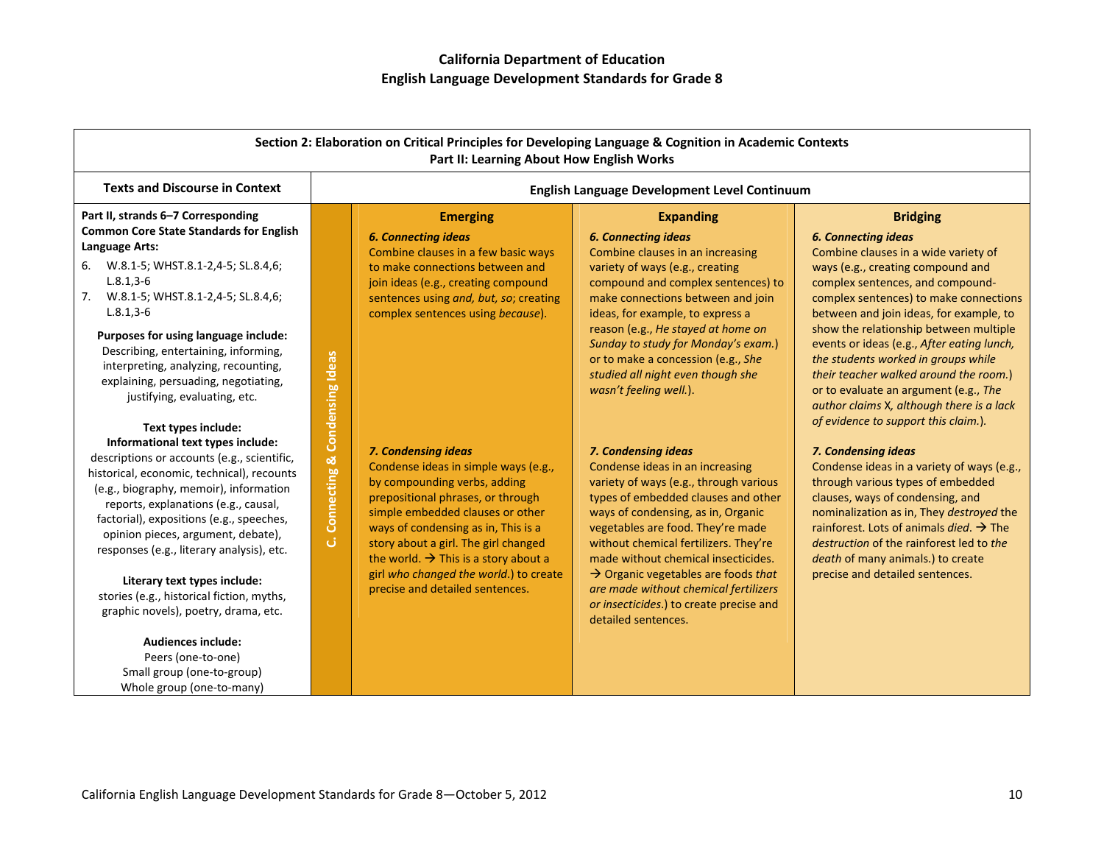| Section 2: Elaboration on Critical Principles for Developing Language & Cognition in Academic Contexts<br>Part II: Learning About How English Works                                                                                                                                                                                                                                                                                                                                                                                                   |                   |                                                                                                                                                                                                                                                                                                                                                                                      |                                                                                                                                                                                                                                                                                                                                                                                                                                                                  |                                                                                                                                                                                                                                                                                                                                                                                                                                                                                                                                                            |
|-------------------------------------------------------------------------------------------------------------------------------------------------------------------------------------------------------------------------------------------------------------------------------------------------------------------------------------------------------------------------------------------------------------------------------------------------------------------------------------------------------------------------------------------------------|-------------------|--------------------------------------------------------------------------------------------------------------------------------------------------------------------------------------------------------------------------------------------------------------------------------------------------------------------------------------------------------------------------------------|------------------------------------------------------------------------------------------------------------------------------------------------------------------------------------------------------------------------------------------------------------------------------------------------------------------------------------------------------------------------------------------------------------------------------------------------------------------|------------------------------------------------------------------------------------------------------------------------------------------------------------------------------------------------------------------------------------------------------------------------------------------------------------------------------------------------------------------------------------------------------------------------------------------------------------------------------------------------------------------------------------------------------------|
| <b>Texts and Discourse in Context</b>                                                                                                                                                                                                                                                                                                                                                                                                                                                                                                                 |                   |                                                                                                                                                                                                                                                                                                                                                                                      | English Language Development Level Continuum                                                                                                                                                                                                                                                                                                                                                                                                                     |                                                                                                                                                                                                                                                                                                                                                                                                                                                                                                                                                            |
| Part II, strands 6-7 Corresponding<br><b>Common Core State Standards for English</b><br>Language Arts:<br>6. W.8.1-5; WHST.8.1-2,4-5; SL.8.4,6;<br>$L.8.1, 3-6$<br>7. W.8.1-5; WHST.8.1-2,4-5; SL.8.4,6;<br>$L.8.1, 3-6$<br>Purposes for using language include:<br>Describing, entertaining, informing,<br>interpreting, analyzing, recounting,<br>explaining, persuading, negotiating,<br>justifying, evaluating, etc.<br>Text types include:                                                                                                       | Condensing Ideas  | <b>Emerging</b><br><b>6. Connecting ideas</b><br>Combine clauses in a few basic ways<br>to make connections between and<br>join ideas (e.g., creating compound<br>sentences using and, but, so; creating<br>complex sentences using because).                                                                                                                                        | <b>Expanding</b><br><b>6. Connecting ideas</b><br>Combine clauses in an increasing<br>variety of ways (e.g., creating<br>compound and complex sentences) to<br>make connections between and join<br>ideas, for example, to express a<br>reason (e.g., He stayed at home on<br>Sunday to study for Monday's exam.)<br>or to make a concession (e.g., She<br>studied all night even though she<br>wasn't feeling well.).                                           | <b>Bridging</b><br><b>6. Connecting ideas</b><br>Combine clauses in a wide variety of<br>ways (e.g., creating compound and<br>complex sentences, and compound-<br>complex sentences) to make connections<br>between and join ideas, for example, to<br>show the relationship between multiple<br>events or ideas (e.g., After eating lunch,<br>the students worked in groups while<br>their teacher walked around the room.)<br>or to evaluate an argument (e.g., The<br>author claims X, although there is a lack<br>of evidence to support this claim.). |
| Informational text types include:<br>descriptions or accounts (e.g., scientific,<br>historical, economic, technical), recounts<br>(e.g., biography, memoir), information<br>reports, explanations (e.g., causal,<br>factorial), expositions (e.g., speeches,<br>opinion pieces, argument, debate),<br>responses (e.g., literary analysis), etc.<br>Literary text types include:<br>stories (e.g., historical fiction, myths,<br>graphic novels), poetry, drama, etc.<br><b>Audiences include:</b><br>Peers (one-to-one)<br>Small group (one-to-group) | Connecting &<br>ن | 7. Condensing ideas<br>Condense ideas in simple ways (e.g.,<br>by compounding verbs, adding<br>prepositional phrases, or through<br>simple embedded clauses or other<br>ways of condensing as in, This is a<br>story about a girl. The girl changed<br>the world. $\rightarrow$ This is a story about a<br>girl who changed the world.) to create<br>precise and detailed sentences. | 7. Condensing ideas<br>Condense ideas in an increasing<br>variety of ways (e.g., through various<br>types of embedded clauses and other<br>ways of condensing, as in, Organic<br>vegetables are food. They're made<br>without chemical fertilizers. They're<br>made without chemical insecticides.<br>$\rightarrow$ Organic vegetables are foods that<br>are made without chemical fertilizers<br>or insecticides.) to create precise and<br>detailed sentences. | 7. Condensing ideas<br>Condense ideas in a variety of ways (e.g.,<br>through various types of embedded<br>clauses, ways of condensing, and<br>nominalization as in, They destroyed the<br>rainforest. Lots of animals <i>died</i> . $\rightarrow$ The<br>destruction of the rainforest led to the<br>death of many animals.) to create<br>precise and detailed sentences.                                                                                                                                                                                  |

Whole group (one‐to‐many)